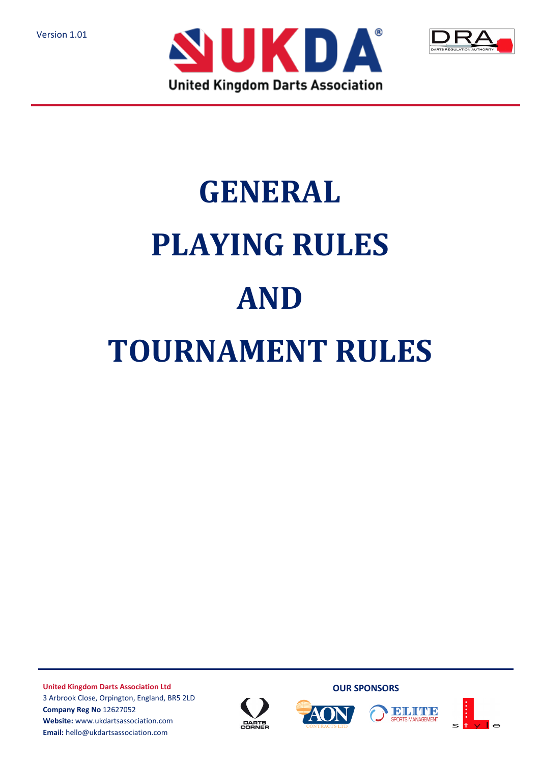Version 1.01





# **GENERAL PLAYING RULES AND TOURNAMENT RULES**

**United Kingdom Darts Association Ltd** 3 Arbrook Close, Orpington, England, BR5 2LD **Company Reg No** 12627052 **Website:** www.ukdartsassociation.com **Email:** hello@ukdartsassociation.com







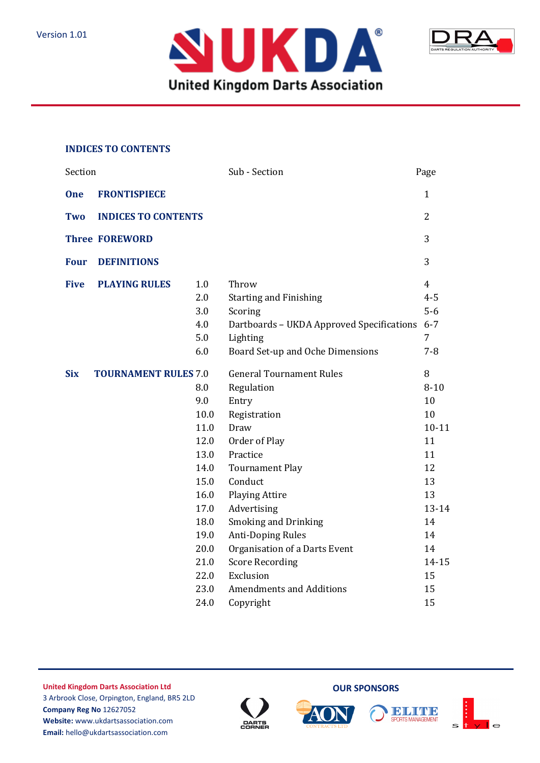



#### **INDICES TO CONTENTS**

| Section               |                             |                                                                                                                    | Sub - Section                                                                                                                                                                                                                                                                                                               | Page                                                                                                               |
|-----------------------|-----------------------------|--------------------------------------------------------------------------------------------------------------------|-----------------------------------------------------------------------------------------------------------------------------------------------------------------------------------------------------------------------------------------------------------------------------------------------------------------------------|--------------------------------------------------------------------------------------------------------------------|
| <b>One</b>            | <b>FRONTISPIECE</b>         |                                                                                                                    |                                                                                                                                                                                                                                                                                                                             | $\mathbf{1}$                                                                                                       |
| Two                   | <b>INDICES TO CONTENTS</b>  |                                                                                                                    |                                                                                                                                                                                                                                                                                                                             | 2                                                                                                                  |
| <b>Three FOREWORD</b> |                             |                                                                                                                    |                                                                                                                                                                                                                                                                                                                             | 3                                                                                                                  |
| <b>Four</b>           | <b>DEFINITIONS</b>          |                                                                                                                    |                                                                                                                                                                                                                                                                                                                             | 3                                                                                                                  |
| <b>Five</b>           | <b>PLAYING RULES</b>        | 1.0<br>2.0<br>3.0<br>4.0<br>5.0<br>6.0                                                                             | Throw<br><b>Starting and Finishing</b><br>Scoring<br>Dartboards - UKDA Approved Specifications<br>Lighting<br>Board Set-up and Oche Dimensions                                                                                                                                                                              | $\overline{4}$<br>$4 - 5$<br>$5-6$<br>$6 - 7$<br>$\overline{7}$<br>$7 - 8$                                         |
| <b>Six</b>            | <b>TOURNAMENT RULES 7.0</b> | 8.0<br>9.0<br>10.0<br>11.0<br>12.0<br>13.0<br>14.0<br>15.0<br>16.0<br>17.0<br>18.0<br>19.0<br>20.0<br>21.0<br>22.0 | <b>General Tournament Rules</b><br>Regulation<br>Entry<br>Registration<br>Draw<br>Order of Play<br>Practice<br><b>Tournament Play</b><br>Conduct<br><b>Playing Attire</b><br>Advertising<br><b>Smoking and Drinking</b><br><b>Anti-Doping Rules</b><br>Organisation of a Darts Event<br><b>Score Recording</b><br>Exclusion | 8<br>$8 - 10$<br>10<br>10<br>$10 - 11$<br>11<br>11<br>12<br>13<br>13<br>13-14<br>14<br>14<br>14<br>$14 - 15$<br>15 |
|                       |                             | 23.0<br>24.0                                                                                                       | <b>Amendments and Additions</b><br>Copyright                                                                                                                                                                                                                                                                                | 15<br>15                                                                                                           |





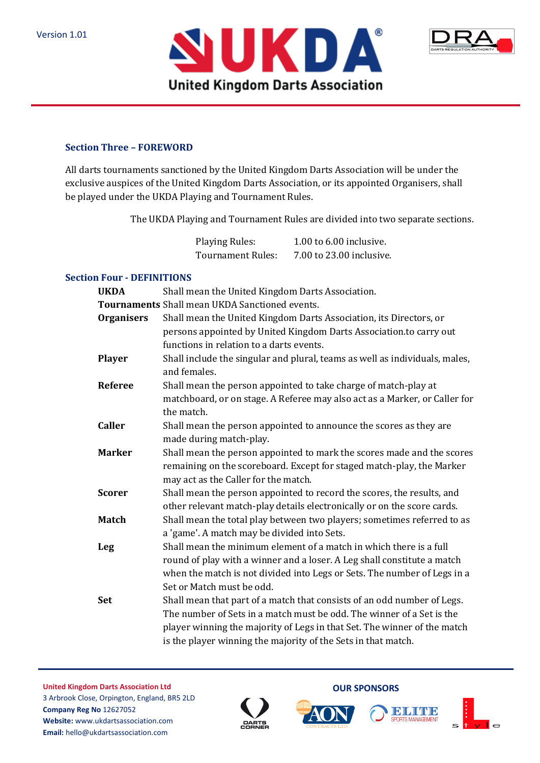



#### **Section Three – FOREWORD**

All darts tournaments sanctioned by the United Kingdom Darts Association will be under the exclusive auspices of the United Kingdom Darts Association, or its appointed Organisers, shall be played under the UKDA Playing and Tournament Rules.

The UKDA Playing and Tournament Rules are divided into two separate sections.

Playing Rules: 1.00 to 6.00 inclusive. Tournament Rules: 7.00 to 23.00 inclusive.

## **Section Four - DEFINITIONS**

| <b>UKDA</b>       | Shall mean the United Kingdom Darts Association.                                                                                                 |
|-------------------|--------------------------------------------------------------------------------------------------------------------------------------------------|
|                   | Tournaments Shall mean UKDA Sanctioned events.                                                                                                   |
| <b>Organisers</b> | Shall mean the United Kingdom Darts Association, its Directors, or                                                                               |
|                   | persons appointed by United Kingdom Darts Association.to carry out                                                                               |
|                   | functions in relation to a darts events.                                                                                                         |
| <b>Player</b>     | Shall include the singular and plural, teams as well as individuals, males,<br>and females.                                                      |
| <b>Referee</b>    | Shall mean the person appointed to take charge of match-play at                                                                                  |
|                   | matchboard, or on stage. A Referee may also act as a Marker, or Caller for                                                                       |
|                   | the match.                                                                                                                                       |
| <b>Caller</b>     | Shall mean the person appointed to announce the scores as they are                                                                               |
|                   | made during match-play.                                                                                                                          |
| <b>Marker</b>     | Shall mean the person appointed to mark the scores made and the scores                                                                           |
|                   | remaining on the scoreboard. Except for staged match-play, the Marker                                                                            |
|                   | may act as the Caller for the match.                                                                                                             |
| <b>Scorer</b>     | Shall mean the person appointed to record the scores, the results, and                                                                           |
|                   | other relevant match-play details electronically or on the score cards.                                                                          |
| <b>Match</b>      | Shall mean the total play between two players; sometimes referred to as                                                                          |
|                   | a 'game'. A match may be divided into Sets.                                                                                                      |
| Leg               | Shall mean the minimum element of a match in which there is a full                                                                               |
|                   | round of play with a winner and a loser. A Leg shall constitute a match                                                                          |
|                   | when the match is not divided into Legs or Sets. The number of Legs in a<br>Set or Match must be odd.                                            |
|                   |                                                                                                                                                  |
| <b>Set</b>        | Shall mean that part of a match that consists of an odd number of Legs.<br>The number of Sets in a match must be odd. The winner of a Set is the |
|                   |                                                                                                                                                  |
|                   | player winning the majority of Legs in that Set. The winner of the match<br>is the player winning the majority of the Sets in that match.        |
|                   |                                                                                                                                                  |

**United Kingdom Darts Association Ltd** 3 Arbrook Close, Orpington, England, BR5 2LD **Company Reg No** 12627052 **Website:** www.ukdartsassociation.com **Email:** hello@ukdartsassociation.com





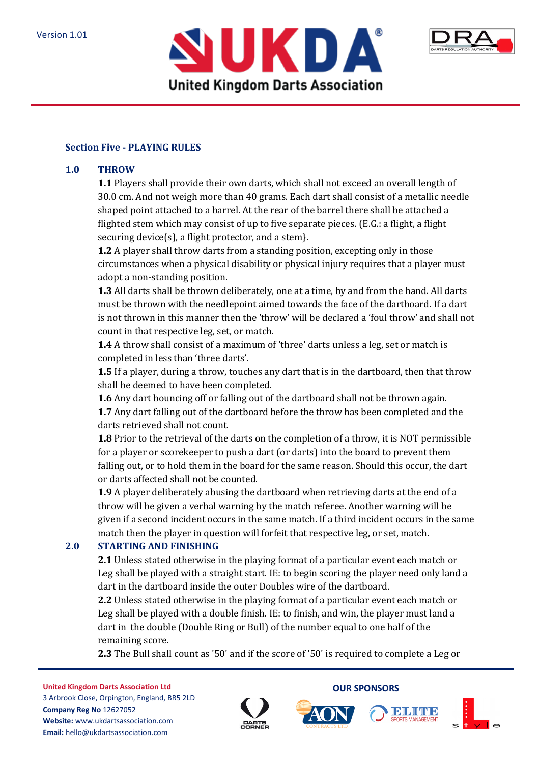



#### **Section Five - PLAYING RULES**

#### **1.0 THROW**

**1.1** Players shall provide their own darts, which shall not exceed an overall length of 30.0 cm. And not weigh more than 40 grams. Each dart shall consist of a metallic needle shaped point attached to a barrel. At the rear of the barrel there shall be attached a flighted stem which may consist of up to five separate pieces. (E.G.: a flight, a flight securing device(s), a flight protector, and a stem}.

**1.2** A player shall throw darts from a standing position, excepting only in those circumstances when a physical disability or physical injury requires that a player must adopt a non-standing position.

**1.3** All darts shall be thrown deliberately, one at a time, by and from the hand. All darts must be thrown with the needlepoint aimed towards the face of the dartboard. If a dart is not thrown in this manner then the 'throw' will be declared a 'foul throw' and shall not count in that respective leg, set, or match.

**1.4** A throw shall consist of a maximum of 'three' darts unless a leg, set or match is completed in less than 'three darts'.

**1.5** If a player, during a throw, touches any dart that is in the dartboard, then that throw shall be deemed to have been completed.

**1.6** Any dart bouncing off or falling out of the dartboard shall not be thrown again. **1.7** Any dart falling out of the dartboard before the throw has been completed and the darts retrieved shall not count.

**1.8** Prior to the retrieval of the darts on the completion of a throw, it is NOT permissible for a player or scorekeeper to push a dart (or darts) into the board to prevent them falling out, or to hold them in the board for the same reason. Should this occur, the dart or darts affected shall not be counted.

**1.9** A player deliberately abusing the dartboard when retrieving darts at the end of a throw will be given a verbal warning by the match referee. Another warning will be given if a second incident occurs in the same match. If a third incident occurs in the same match then the player in question will forfeit that respective leg, or set, match.

#### **2.0 STARTING AND FINISHING**

**2.1** Unless stated otherwise in the playing format of a particular event each match or Leg shall be played with a straight start. IE: to begin scoring the player need only land a dart in the dartboard inside the outer Doubles wire of the dartboard.

**2.2** Unless stated otherwise in the playing format of a particular event each match or Leg shall be played with a double finish. IE: to finish, and win, the player must land a dart in the double (Double Ring or Bull) of the number equal to one half of the remaining score.

**2.3** The Bull shall count as '50' and if the score of '50' is required to complete a Leg or

**United Kingdom Darts Association Ltd** 3 Arbrook Close, Orpington, England, BR5 2LD **Company Reg No** 12627052 **Website:** www.ukdartsassociation.com **Email:** hello@ukdartsassociation.com







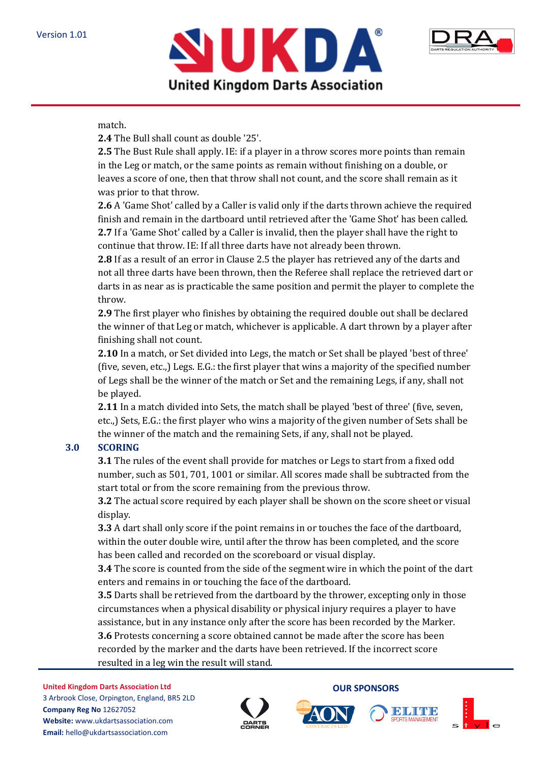



## match.

**2.4** The Bull shall count as double '25'.

**2.5** The Bust Rule shall apply. IE: if a player in a throw scores more points than remain in the Leg or match, or the same points as remain without finishing on a double, or leaves a score of one, then that throw shall not count, and the score shall remain as it was prior to that throw.

**2.6** A 'Game Shot' called by a Caller is valid only if the darts thrown achieve the required finish and remain in the dartboard until retrieved after the 'Game Shot' has been called. **2.7** If a 'Game Shot' called by a Caller is invalid, then the player shall have the right to continue that throw. IE: If all three darts have not already been thrown.

**2.8** If as a result of an error in Clause 2.5 the player has retrieved any of the darts and not all three darts have been thrown, then the Referee shall replace the retrieved dart or darts in as near as is practicable the same position and permit the player to complete the throw.

**2.9** The first player who finishes by obtaining the required double out shall be declared the winner of that Leg or match, whichever is applicable. A dart thrown by a player after finishing shall not count.

**2.10** In a match, or Set divided into Legs, the match or Set shall be played 'best of three' (five, seven, etc.,) Legs. E.G.: the first player that wins a majority of the specified number of Legs shall be the winner of the match or Set and the remaining Legs, if any, shall not be played.

**2.11** In a match divided into Sets, the match shall be played 'best of three' (five, seven, etc.,) Sets, E.G.: the first player who wins a majority of the given number of Sets shall be the winner of the match and the remaining Sets, if any, shall not be played.

# **3.0 SCORING**

**3.1** The rules of the event shall provide for matches or Legs to start from a fixed odd number, such as 501, 701, 1001 or similar. All scores made shall be subtracted from the start total or from the score remaining from the previous throw.

**3.2** The actual score required by each player shall be shown on the score sheet or visual display. The contract of the contract of the contract of the contract of the contract of the contract of the contract of the contract of the contract of the contract of the contract of the contract of the contract of the c

**3.3** A dart shall only score if the point remains in or touches the face of the dartboard, within the outer double wire, until after the throw has been completed, and the score has been called and recorded on the scoreboard or visual display.

**3.4** The score is counted from the side of the segment wire in which the point of the dart enters and remains in or touching the face of the dartboard.

**3.5** Darts shall be retrieved from the dartboard by the thrower, excepting only in those circumstances when a physical disability or physical injury requires a player to have assistance, but in any instance only after the score has been recorded by the Marker. **3.6** Protests concerning a score obtained cannot be made after the score has been recorded by the marker and the darts have been retrieved. If the incorrect score resulted in a leg win the result will stand.

**United Kingdom Darts Association Ltd** 3 Arbrook Close, Orpington, England, BR5 2LD **Company Reg No** 12627052 **Website:** www.ukdartsassociation.com **Email:** hello@ukdartsassociation.com







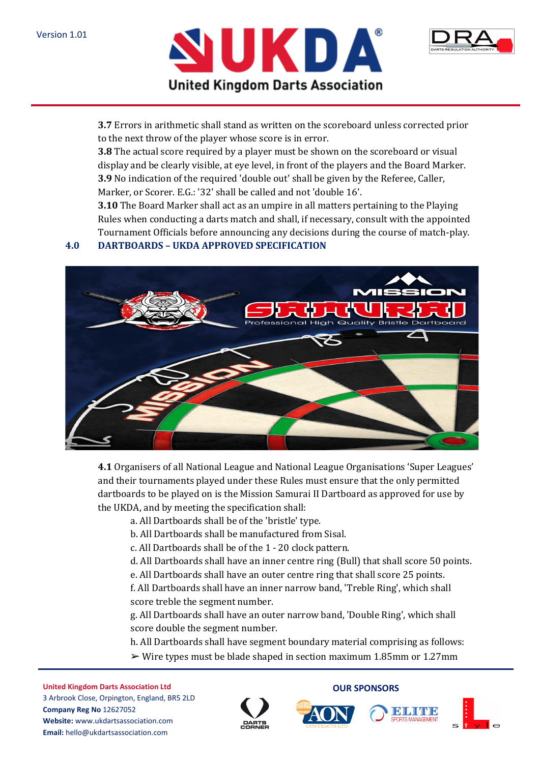



**3.7** Errors in arithmetic shall stand as written on the scoreboard unless corrected prior to the next throw of the player whose score is in error.

**3.8** The actual score required by a player must be shown on the scoreboard or visual display and be clearly visible, at eye level, in front of the players and the Board Marker. **3.9** No indication of the required 'double out' shall be given by the Referee, Caller, Marker, or Scorer. E.G.: '32' shall be called and not 'double 16'.

**3.10** The Board Marker shall act as an umpire in all matters pertaining to the Playing Rules when conducting a darts match and shall, if necessary, consult with the appointed Tournament Officials before announcing any decisions during the course of match-play.

# **4.0 DARTBOARDS – UKDA APPROVED SPECIFICATION**



**4.1** Organisers of all National League and National League Organisations 'Super Leagues' and their tournaments played under these Rules must ensure that the only permitted dartboards to be played on is the Mission Samurai II Dartboard as approved for use by the UKDA, and by meeting the specification shall:

a. All Dartboards shall be of the 'bristle' type.

b. All Dartboards shall be manufactured from Sisal.

c. All Dartboards shall be of the 1 - 20 clock pattern.

d. All Dartboards shall have an inner centre ring (Bull) that shall score 50 points.

e. All Dartboards shall have an outer centre ring that shall score 25 points.

f. All Dartboards shall have an inner narrow band, 'Treble Ring', which shall score treble the segment number.

g. All Dartboards shall have an outer narrow band, 'Double Ring', which shall score double the segment number.

h. All Dartboards shall have segment boundary material comprising as follows:

 $\triangleright$  Wire types must be blade shaped in section maximum 1.85mm or 1.27mm







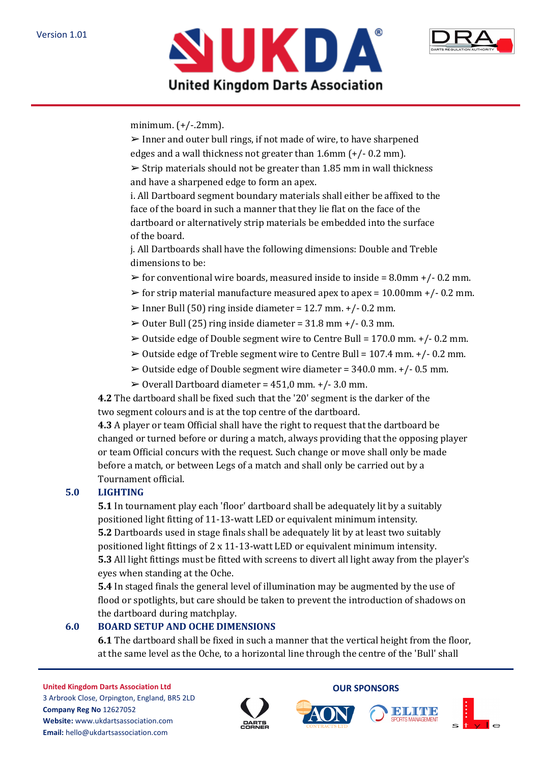



minimum. (+/-.2mm).

 $\triangleright$  Inner and outer bull rings, if not made of wire, to have sharpened edges and a wall thickness not greater than 1.6mm (+/- 0.2 mm).

 $\geq$  Strip materials should not be greater than 1.85 mm in wall thickness and have a sharpened edge to form an apex.

i. All Dartboard segment boundary materials shall either be affixed to the face of the board in such a manner that they lie flat on the face of the dartboard or alternatively strip materials be embedded into the surface of the board.

j. All Dartboards shall have the following dimensions: Double and Treble dimensions to be:

- $\triangleright$  for conventional wire boards, measured inside to inside = 8.0mm +/- 0.2 mm.
- $\triangleright$  for strip material manufacture measured apex to apex = 10.00mm +/- 0.2 mm.
- $\triangleright$  Inner Bull (50) ring inside diameter = 12.7 mm. +/- 0.2 mm.
- $\geq 0$ uter Bull (25) ring inside diameter = 31.8 mm +/- 0.3 mm.
- $\geq 0$ utside edge of Double segment wire to Centre Bull = 170.0 mm. +/- 0.2 mm.
- ➢ Outside edge of Treble segment wire to Centre Bull = 107.4 mm. +/- 0.2 mm.
- $\geq 0$ utside edge of Double segment wire diameter = 340.0 mm. +/- 0.5 mm.
- $\geq 0$  verall Dartboard diameter = 451,0 mm. +/- 3.0 mm.

**4.2** The dartboard shall be fixed such that the '20' segment is the darker of the two segment colours and is at the top centre of the dartboard.

**4.3** A player or team Official shall have the right to request that the dartboard be changed or turned before or during a match, always providing that the opposing player or team Official concurs with the request. Such change or move shall only be made before a match, or between Legs of a match and shall only be carried out by a Tournament official.

# **5.0 LIGHTING**

**5.1** In tournament play each 'floor' dartboard shall be adequately lit by a suitably positioned light fitting of 11-13-watt LED or equivalent minimum intensity. **5.2** Dartboards used in stage finals shall be adequately lit by at least two suitably positioned light fittings of 2 x 11-13-watt LED or equivalent minimum intensity. **5.3** All light fittings must be fitted with screens to divert all light away from the player's eyes when standing at the Oche.

**5.4** In staged finals the general level of illumination may be augmented by the use of flood or spotlights, but care should be taken to prevent the introduction of shadows on the dartboard during matchplay.

# **6.0 BOARD SETUP AND OCHE DIMENSIONS**

**6.1** The dartboard shall be fixed in such a manner that the vertical height from the floor, at the same level as the Oche, to a horizontal line through the centre of the 'Bull' shall







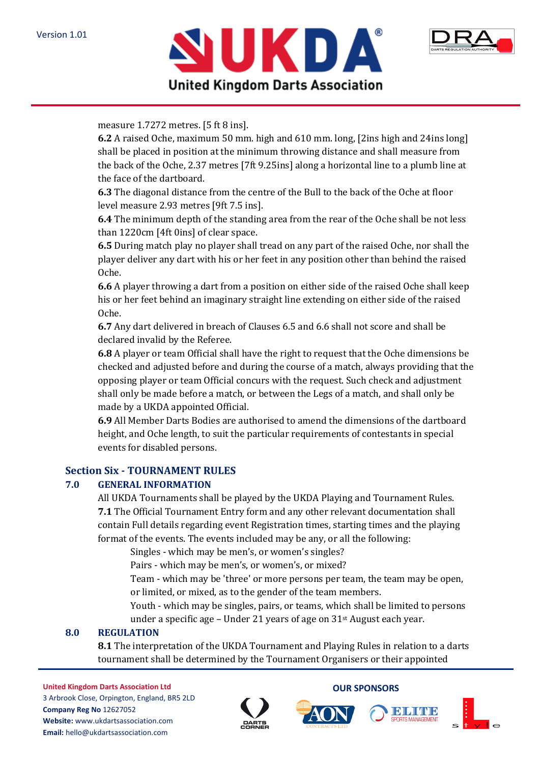



#### measure 1.7272 metres. [5 ft 8 ins].

**6.2** A raised Oche, maximum 50 mm. high and 610 mm. long, [2ins high and 24ins long] shall be placed in position at the minimum throwing distance and shall measure from the back of the Oche, 2.37 metres [7ft 9.25ins] along a horizontal line to a plumb line at the face of the dartboard.

**6.3** The diagonal distance from the centre of the Bull to the back of the Oche at floor level measure 2.93 metres [9ft 7.5 ins].

**6.4** The minimum depth of the standing area from the rear of the Oche shall be not less than 1220cm [4ft 0ins] of clear space.

**6.5** During match play no player shall tread on any part of the raised Oche, nor shall the player deliver any dart with his or her feet in any position other than behind the raised Oche.

**6.6** A player throwing a dart from a position on either side of the raised Oche shall keep his or her feet behind an imaginary straight line extending on either side of the raised Oche.

**6.7** Any dart delivered in breach of Clauses 6.5 and 6.6 shall not score and shall be declared invalid by the Referee.

**6.8** A player or team Official shall have the right to request that the Oche dimensions be checked and adjusted before and during the course of a match, always providing that the opposing player or team Official concurs with the request. Such check and adjustment shall only be made before a match, or between the Legs of a match, and shall only be made by a UKDA appointed Official.

**6.9** All Member Darts Bodies are authorised to amend the dimensions of the dartboard height, and Oche length, to suit the particular requirements of contestants in special events for disabled persons.

#### **Section Six - TOURNAMENT RULES**

#### **7.0 GENERAL INFORMATION**

All UKDA Tournaments shall be played by the UKDA Playing and Tournament Rules. **7.1** The Official Tournament Entry form and any other relevant documentation shall contain Full details regarding event Registration times, starting times and the playing format of the events. The events included may be any, or all the following:

Singles - which may be men's, or women's singles?

Pairs - which may be men's, or women's, or mixed?

Team - which may be 'three' or more persons per team, the team may be open, or limited, or mixed, as to the gender of the team members.

Youth - which may be singles, pairs, or teams, which shall be limited to persons under a specific age – Under 21 years of age on  $31$ <sup>st</sup> August each year.

#### **8.0 REGULATION**

**8.1** The interpretation of the UKDA Tournament and Playing Rules in relation to a darts tournament shall be determined by the Tournament Organisers or their appointed







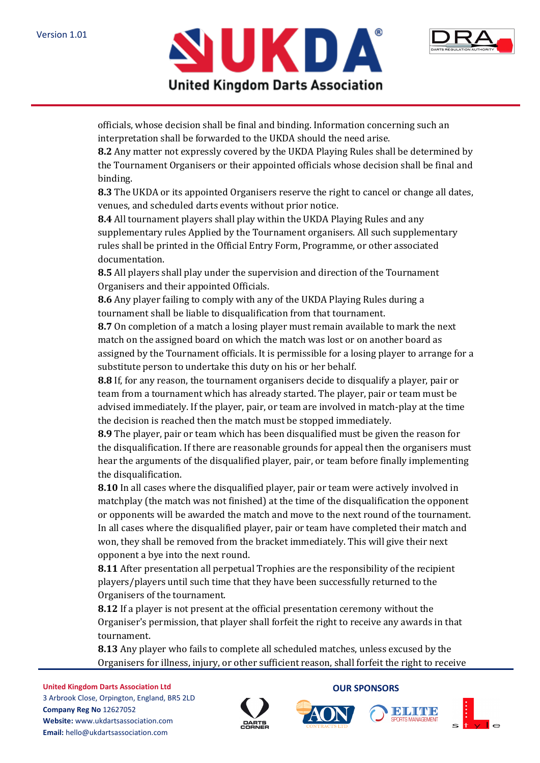



officials, whose decision shall be final and binding. Information concerning such an interpretation shall be forwarded to the UKDA should the need arise.

**8.2** Any matter not expressly covered by the UKDA Playing Rules shall be determined by the Tournament Organisers or their appointed officials whose decision shall be final and binding.

**8.3** The UKDA or its appointed Organisers reserve the right to cancel or change all dates, venues, and scheduled darts events without prior notice.

**8.4** All tournament players shall play within the UKDA Playing Rules and any supplementary rules Applied by the Tournament organisers. All such supplementary rules shall be printed in the Official Entry Form, Programme, or other associated documentation.

**8.5** All players shall play under the supervision and direction of the Tournament Organisers and their appointed Officials.

**8.6** Any player failing to comply with any of the UKDA Playing Rules during a tournament shall be liable to disqualification from that tournament.

**8.7** On completion of a match a losing player must remain available to mark the next match on the assigned board on which the match was lost or on another board as assigned by the Tournament officials. It is permissible for a losing player to arrange for a substitute person to undertake this duty on his or her behalf.

**8.8** If, for any reason, the tournament organisers decide to disqualify a player, pair or team from a tournament which has already started. The player, pair or team must be advised immediately. If the player, pair, or team are involved in match-play at the time the decision is reached then the match must be stopped immediately.

**8.9** The player, pair or team which has been disqualified must be given the reason for the disqualification. If there are reasonable grounds for appeal then the organisers must hear the arguments of the disqualified player, pair, or team before finally implementing the disqualification.

**8.10** In all cases where the disqualified player, pair or team were actively involved in matchplay (the match was not finished) at the time of the disqualification the opponent or opponents will be awarded the match and move to the next round of the tournament. In all cases where the disqualified player, pair or team have completed their match and won, they shall be removed from the bracket immediately. This will give their next opponent a bye into the next round.

**8.11** After presentation all perpetual Trophies are the responsibility of the recipient players/players until such time that they have been successfully returned to the Organisers of the tournament.

**8.12** If a player is not present at the official presentation ceremony without the Organiser's permission, that player shall forfeit the right to receive any awards in that tournament.

**8.13** Any player who fails to complete all scheduled matches, unless excused by the Organisers for illness, injury, or other sufficient reason, shall forfeit the right to receive

**United Kingdom Darts Association Ltd** 3 Arbrook Close, Orpington, England, BR5 2LD **Company Reg No** 12627052 **Website:** www.ukdartsassociation.com **Email:** hello@ukdartsassociation.com







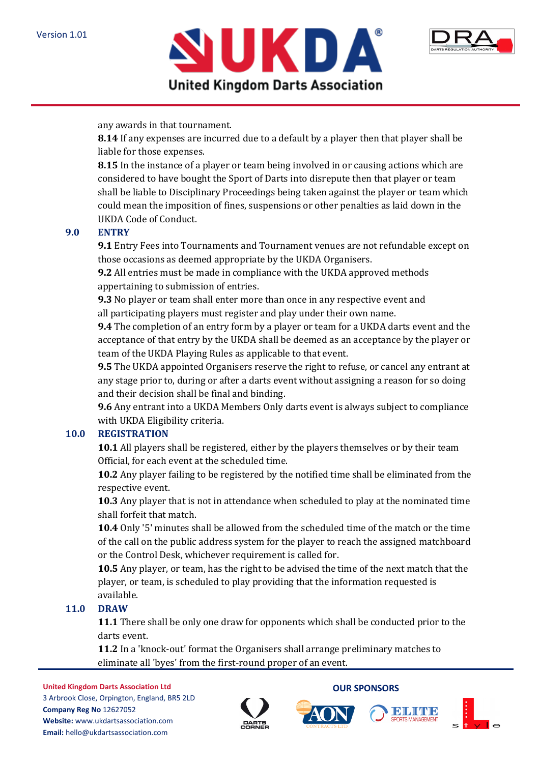



any awards in that tournament.

**8.14** If any expenses are incurred due to a default by a player then that player shall be liable for those expenses.

**8.15** In the instance of a player or team being involved in or causing actions which are considered to have bought the Sport of Darts into disrepute then that player or team shall be liable to Disciplinary Proceedings being taken against the player or team which could mean the imposition of fines, suspensions or other penalties as laid down in the UKDA Code of Conduct.

## **9.0 ENTRY**

**9.1** Entry Fees into Tournaments and Tournament venues are not refundable except on those occasions as deemed appropriate by the UKDA Organisers.

**9.2** All entries must be made in compliance with the UKDA approved methods appertaining to submission of entries.

**9.3** No player or team shall enter more than once in any respective event and all participating players must register and play under their own name.

**9.4** The completion of an entry form by a player or team for a UKDA darts event and the acceptance of that entry by the UKDA shall be deemed as an acceptance by the player or team of the UKDA Playing Rules as applicable to that event.

**9.5** The UKDA appointed Organisers reserve the right to refuse, or cancel any entrant at any stage prior to, during or after a darts event without assigning a reason for so doing and their decision shall be final and binding.

**9.6** Any entrant into a UKDA Members Only darts event is always subject to compliance with UKDA Eligibility criteria.

## **10.0 REGISTRATION**

**10.1** All players shall be registered, either by the players themselves or by their team Official, for each event at the scheduled time.

**10.2** Any player failing to be registered by the notified time shall be eliminated from the respective event.

**10.3** Any player that is not in attendance when scheduled to play at the nominated time shall forfeit that match.

**10.4** Only '5' minutes shall be allowed from the scheduled time of the match or the time of the call on the public address system for the player to reach the assigned matchboard or the Control Desk, whichever requirement is called for.

**10.5** Any player, or team, has the right to be advised the time of the next match that the player, or team, is scheduled to play providing that the information requested is available.

## **11.0 DRAW**

**11.1** There shall be only one draw for opponents which shall be conducted prior to the darts event.

**11.2** In a 'knock-out' format the Organisers shall arrange preliminary matches to eliminate all 'byes' from the first-round proper of an event.

**United Kingdom Darts Association Ltd** 3 Arbrook Close, Orpington, England, BR5 2LD **Company Reg No** 12627052 **Website:** www.ukdartsassociation.com **Email:** hello@ukdartsassociation.com





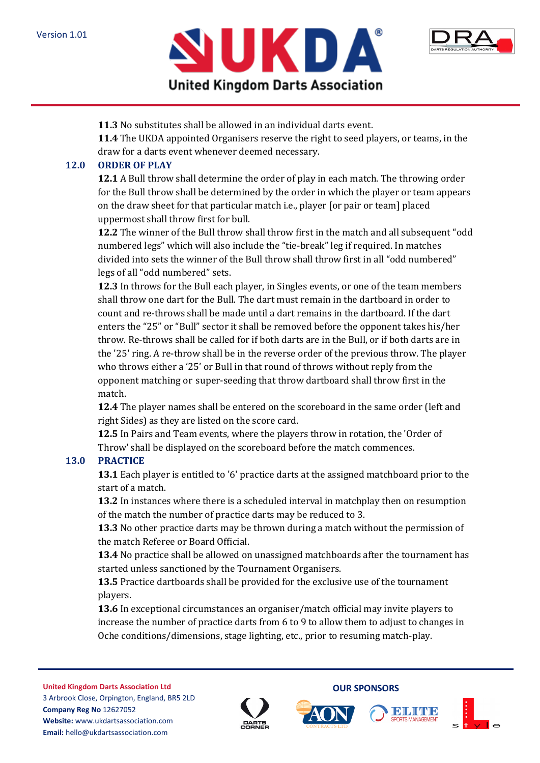



**11.3** No substitutes shall be allowed in an individual darts event.

**11.4** The UKDA appointed Organisers reserve the right to seed players, or teams, in the draw for a darts event whenever deemed necessary.

## **12.0 ORDER OF PLAY**

**12.1** A Bull throw shall determine the order of play in each match. The throwing order for the Bull throw shall be determined by the order in which the player or team appears on the draw sheet for that particular match i.e., player [or pair or team] placed uppermost shall throw first for bull.

**12.2** The winner of the Bull throw shall throw first in the match and all subsequent "odd numbered legs" which will also include the "tie-break" leg if required. In matches divided into sets the winner of the Bull throw shall throw first in all "odd numbered" legs of all "odd numbered" sets.

**12.3** In throws for the Bull each player, in Singles events, or one of the team members shall throw one dart for the Bull. The dart must remain in the dartboard in order to count and re-throws shall be made until a dart remains in the dartboard. If the dart enters the "25" or "Bull" sector it shall be removed before the opponent takes his/her throw. Re-throws shall be called for if both darts are in the Bull, or if both darts are in the '25' ring. A re-throw shall be in the reverse order of the previous throw. The player who throws either a '25' or Bull in that round of throws without reply from the opponent matching or super-seeding that throw dartboard shall throw first in the match.

**12.4** The player names shall be entered on the scoreboard in the same order (left and right Sides) as they are listed on the score card.

**12.5** In Pairs and Team events, where the players throw in rotation, the 'Order of Throw' shall be displayed on the scoreboard before the match commences.

# **13.0 PRACTICE**

**13.1** Each player is entitled to '6' practice darts at the assigned matchboard prior to the start of a match.

**13.2** In instances where there is a scheduled interval in matchplay then on resumption of the match the number of practice darts may be reduced to 3.

**13.3** No other practice darts may be thrown during a match without the permission of the match Referee or Board Official.

**13.4** No practice shall be allowed on unassigned matchboards after the tournament has started unless sanctioned by the Tournament Organisers.

**13.5** Practice dartboards shall be provided for the exclusive use of the tournament players.

**13.6** In exceptional circumstances an organiser/match official may invite players to increase the number of practice darts from 6 to 9 to allow them to adjust to changes in Oche conditions/dimensions, stage lighting, etc., prior to resuming match-play.







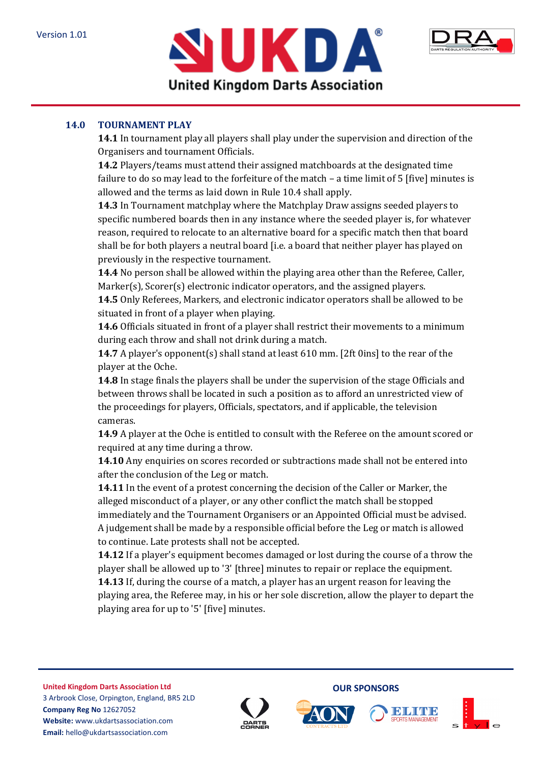



## **14.0 TOURNAMENT PLAY**

**14.1** In tournament play all players shall play under the supervision and direction of the Organisers and tournament Officials.

**14.2** Players/teams must attend their assigned matchboards at the designated time failure to do so may lead to the forfeiture of the match – a time limit of 5 [five] minutes is allowed and the terms as laid down in Rule 10.4 shall apply.

**14.3** In Tournament matchplay where the Matchplay Draw assigns seeded players to specific numbered boards then in any instance where the seeded player is, for whatever reason, required to relocate to an alternative board for a specific match then that board shall be for both players a neutral board [i.e. a board that neither player has played on previously in the respective tournament.

**14.4** No person shall be allowed within the playing area other than the Referee, Caller, Marker(s), Scorer(s) electronic indicator operators, and the assigned players.

**14.5** Only Referees, Markers, and electronic indicator operators shall be allowed to be situated in front of a player when playing.

**14.6** Officials situated in front of a player shall restrict their movements to a minimum during each throw and shall not drink during a match.

**14.7** A player's opponent(s) shall stand at least 610 mm. [2ft 0ins] to the rear of the player at the Oche.

**14.8** In stage finals the players shall be under the supervision of the stage Officials and between throws shall be located in such a position as to afford an unrestricted view of the proceedings for players, Officials, spectators, and if applicable, the television cameras.

**14.9** A player at the Oche is entitled to consult with the Referee on the amount scored or required at any time during a throw.

**14.10** Any enquiries on scores recorded or subtractions made shall not be entered into after the conclusion of the Leg or match.

**14.11** In the event of a protest concerning the decision of the Caller or Marker, the alleged misconduct of a player, or any other conflict the match shall be stopped immediately and the Tournament Organisers or an Appointed Official must be advised. A judgement shall be made by a responsible official before the Leg or match is allowed to continue. Late protests shall not be accepted.

**14.12** If a player's equipment becomes damaged or lost during the course of a throw the player shall be allowed up to '3' [three] minutes to repair or replace the equipment. **14.13** If, during the course of a match, a player has an urgent reason for leaving the playing area, the Referee may, in his or her sole discretion, allow the player to depart the playing area for up to '5' [five] minutes.

**United Kingdom Darts Association Ltd** 3 Arbrook Close, Orpington, England, BR5 2LD **Company Reg No** 12627052 **Website:** www.ukdartsassociation.com **Email:** hello@ukdartsassociation.com





**OUR SPONSORS**

II DHI VII VII D

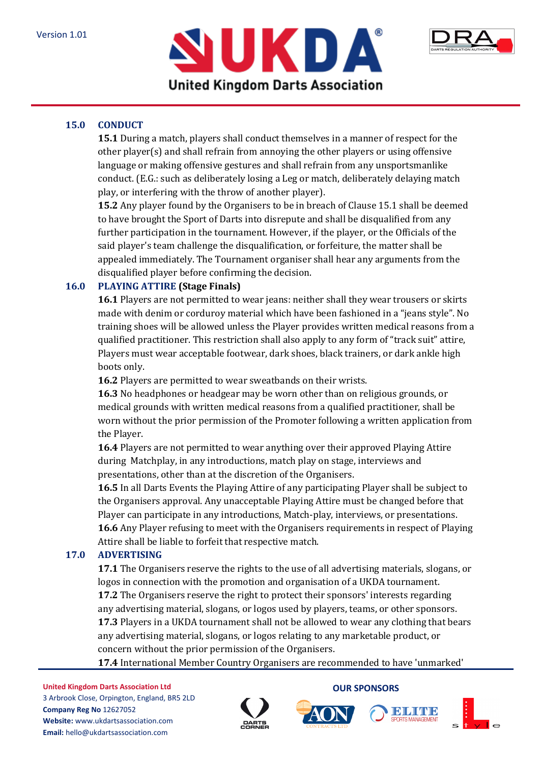



# **15.0 CONDUCT**

**15.1** During a match, players shall conduct themselves in a manner of respect for the other player(s) and shall refrain from annoying the other players or using offensive language or making offensive gestures and shall refrain from any unsportsmanlike conduct. (E.G.: such as deliberately losing a Leg or match, deliberately delaying match play, or interfering with the throw of another player).

**15.2** Any player found by the Organisers to be in breach of Clause 15.1 shall be deemed to have brought the Sport of Darts into disrepute and shall be disqualified from any further participation in the tournament. However, if the player, or the Officials of the said player's team challenge the disqualification, or forfeiture, the matter shall be appealed immediately. The Tournament organiser shall hear any arguments from the disqualified player before confirming the decision.

## **16.0 PLAYING ATTIRE (Stage Finals)**

**16.1** Players are not permitted to wear jeans: neither shall they wear trousers or skirts made with denim or corduroy material which have been fashioned in a "jeans style". No training shoes will be allowed unless the Player provides written medical reasons from a qualified practitioner. This restriction shall also apply to any form of "track suit" attire, Players must wear acceptable footwear, dark shoes, black trainers, or dark ankle high boots only.

**16.2** Players are permitted to wear sweatbands on their wrists.

**16.3** No headphones or headgear may be worn other than on religious grounds, or medical grounds with written medical reasons from a qualified practitioner, shall be worn without the prior permission of the Promoter following a written application from the Player.

**16.4** Players are not permitted to wear anything over their approved Playing Attire during Matchplay, in any introductions, match play on stage, interviews and presentations, other than at the discretion of the Organisers.

**16.5** In all Darts Events the Playing Attire of any participating Player shall be subject to the Organisers approval. Any unacceptable Playing Attire must be changed before that Player can participate in any introductions, Match-play, interviews, or presentations. **16.6** Any Player refusing to meet with the Organisers requirements in respect of Playing Attire shall be liable to forfeit that respective match.

## **17.0 ADVERTISING**

**17.1** The Organisers reserve the rights to the use of all advertising materials, slogans, or logos in connection with the promotion and organisation of a UKDA tournament. **17.2** The Organisers reserve the right to protect their sponsors' interests regarding any advertising material, slogans, or logos used by players, teams, or other sponsors. **17.3** Players in a UKDA tournament shall not be allowed to wear any clothing that bears any advertising material, slogans, or logos relating to any marketable product, or concern without the prior permission of the Organisers.

**17.4** International Member Country Organisers are recommended to have 'unmarked'







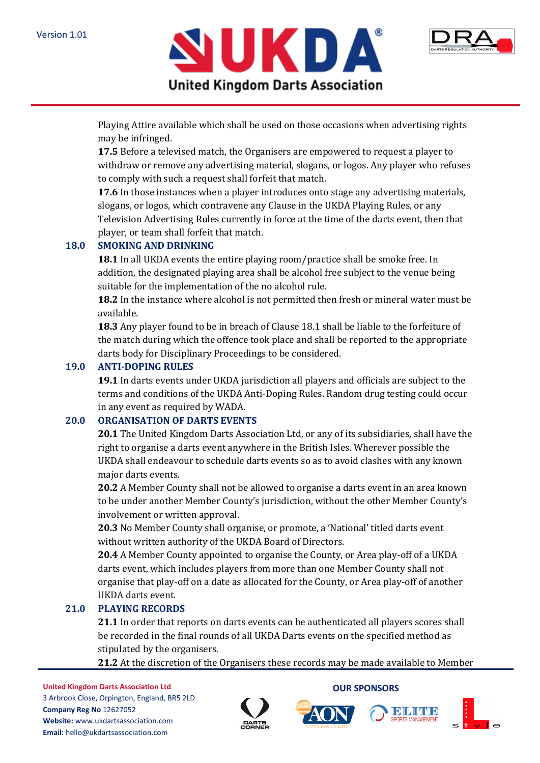



Playing Attire available which shall be used on those occasions when advertising rights may be infringed.

**17.5** Before a televised match, the Organisers are empowered to request a player to withdraw or remove any advertising material, slogans, or logos. Any player who refuses to comply with such a request shall forfeit that match.

**17.6** In those instances when a player introduces onto stage any advertising materials, slogans, or logos, which contravene any Clause in the UKDA Playing Rules, or any Television Advertising Rules currently in force at the time of the darts event, then that player, or team shall forfeit that match.

## **18.0 SMOKING AND DRINKING**

**18.1** In all UKDA events the entire playing room/practice shall be smoke free. In addition, the designated playing area shall be alcohol free subject to the venue being suitable for the implementation of the no alcohol rule.

**18.2** In the instance where alcohol is not permitted then fresh or mineral water must be available.

**18.3** Any player found to be in breach of Clause 18.1 shall be liable to the forfeiture of the match during which the offence took place and shall be reported to the appropriate darts body for Disciplinary Proceedings to be considered.

## **19.0 ANTI-DOPING RULES**

**19.1** In darts events under UKDA jurisdiction all players and officials are subject to the terms and conditions of the UKDA Anti-Doping Rules. Random drug testing could occur in any event as required by WADA.

#### **20.0 ORGANISATION OF DARTS EVENTS**

**20.1** The United Kingdom Darts Association Ltd, or any of its subsidiaries, shall have the right to organise a darts event anywhere in the British Isles. Wherever possible the UKDA shall endeavour to schedule darts events so as to avoid clashes with any known major darts events.

**20.2** A Member County shall not be allowed to organise a darts event in an area known to be under another Member County's jurisdiction, without the other Member County's involvement or written approval.

**20.3** No Member County shall organise, or promote, a 'National' titled darts event without written authority of the UKDA Board of Directors.

**20.4** A Member County appointed to organise the County, or Area play-off of a UKDA darts event, which includes players from more than one Member County shall not organise that play-off on a date as allocated for the County, or Area play-off of another UKDA darts event.

## **21.0 PLAYING RECORDS**

**21.1** In order that reports on darts events can be authenticated all players scores shall be recorded in the final rounds of all UKDA Darts events on the specified method as stipulated by the organisers.

**21.2** At the discretion of the Organisers these records may be made available to Member